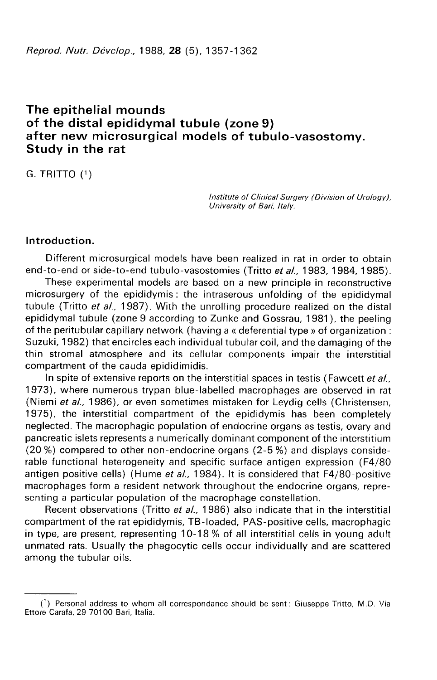# The epithelial mounds of the distal epididymal tubule (zone 9) after new microsurgical models of tubulo-vasostomy. Study in the rat

G. TRITTO (1)

Institute of Clinical Surgery (Division of Urology), University of Bari, Italy.

# Introduction.

Different microsurgical models have been realized in rat in order to obtain end-to-end or side-to-end tubulo-vasostomies (Tritto et al., 1983, 1984, 1985).

These experimental models are based on a new principle in reconstructive microsurgery of the epididymis : the intraserous unfolding of the epididymal tubule (Tritto *et al.*, 1987). With the unrolling procedure realized on the distal epididymal tubule (zone 9 according to Zunke and Gossrau, 1981 ), the peeling of the peritubular capillary network (having a « deferential type » of organization : Suzuki, 1982) that encircles each individual tubular coil, and the damaging of the thin stromal atmosphere and its cellular components impair the interstitial compartment of the cauda epididimidis.

In spite of extensive reports on the interstitial spaces in testis (Fawcett et al. 1973), where numerous trypan blue-labelled macrophages are observed in rat (Niemi et al., 1986), or even sometimes mistaken for Leydig cells (Christensen, 1975), the interstitial compartment of the epididymis has been completely neglected. The macrophagic population of endocrine organs as testis, ovary and pancreatic islets represents a numerically dominant component of the interstitium (20 %) compared to other non-endocrine organs (2-5 %) and displays considerable functional heterogeneity and specific surface antigen expression (F4/80 antigen positive cells) (Hume et al., 1984). It is considered that  $F4/80$ -positive macrophages form a resident network throughout the endocrine organs, representing a particular population of the macrophage constellation.

Recent observations (Tritto et al., 1986) also indicate that in the interstitial compartment of the rat epididymis, TB-loaded, PAS-positive cells, macrophagic in type, are present, representing 10-18 % of all interstitial cells in young adult unmated rats. Usually the phagocytic cells occur individually and are scattered among the tubular oils.

 $(1)$  Personal address to whom all correspondance should be sent: Giuseppe Tritto, M.D. Via Ettore Carafa, 29 70100 Bari, Italia.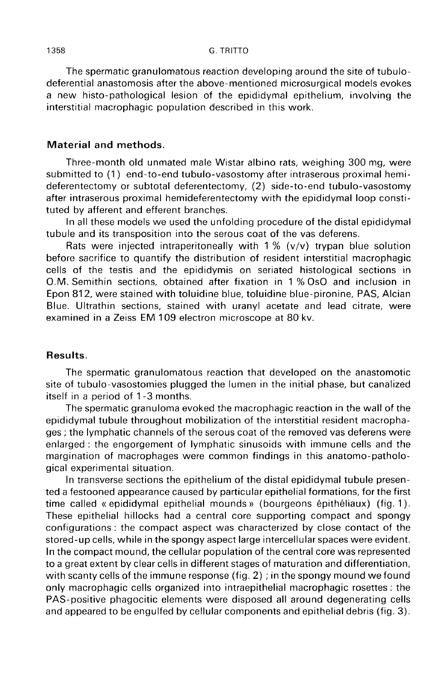The spermatic granulomatous reaction developing around the site of tubulodeferential anastomosis after the above-mentioned microsurgical models evokes a new histo-pathological lesion of the epididymal epithelium, involving the interstitial macrophagic population described in this work.

### Material and methods.

Three-month old unmated male Wistar albino rats, weighing 300 mg, were submitted to (1) end-to-end tubulo-vasostomy after intraserous proximal hemideferentectomy or subtotal deferentectomy, (2) side-to-end tubulo-vasostomy after intraserous proximal hemideferentectomy with the epididymal loop constituted by afferent and efferent branches.

In all these models we used the unfolding procedure of the distal epididymal tubule and its transposition into the serous coat of the vas deferens.

Rats were injected intraperitoneally with  $1\%$  (v/v) trypan blue solution before sacrifice to quantify the distribution of resident interstitial macrophagic cells of the testis and the epididymis on seriated histological sections in O.M. Semithin sections, obtained after fixation in 1 % Os0 and inclusion in Epon 812, were stained with toluidine blue, toluidine blue-pironine, PAS, Alcian Blue. Ultrathin sections, stained with uranyl acetate and lead citrate, were examined in a Zeiss EM 109 electron microscope at 80 kv.

### Results.

The spermatic granulomatous reaction that developed on the anastomotic site of tubulo-vasostomies plugged the lumen in the initial phase, but canalized itself in a period of 1 -3 months.

The spermatic granuloma evoked the macrophagic reaction in the wall of the epididymal tubule throughout mobilization of the interstitial resident macrophages ; the lymphatic channels of the serous coat of the removed vas deferens were enlarged : the engorgement of lymphatic sinusoids with immune cells and the margination of macrophages were common findings in this anatomo-pathological experimental situation.

In transverse sections the epithelium of the distal epididymal tubule presented a festooned appearance caused by particular epithelial formations, for the first time called « epididymal epithelial mounds » (bourgeons épithéliaux) (fig. 1). These epithelial hillocks had a central core supporting compact and spongy configurations : the compact aspect was characterized by close contact of the stored-up cells, while in the spongy aspect large intercellular spaces were evident. In the compact mound, the cellular population of the central core was represented to a great extent by clear cells in different stages of maturation and differentiation, with scanty cells of the immune response (fig. 2) ; in the spongy mound we found only macrophagic cells organized into intraepithelial macrophagic rosettes : the PAS-positive phagocitic elements were disposed all around degenerating cells and appeared to be engulfed by cellular components and epithelial debris (fig. 3).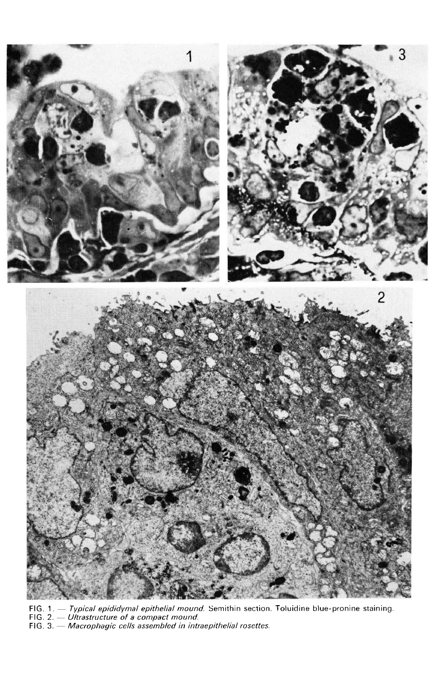

FIG. 1. — Typical epididymal epithelial mound. Semithin section. Toluidine blue-pronine staining.<br>FIG. 2. — Ultrastructure of a compact mound.<br>FIG. 3. — Macrophagic cells assembled in intraepithelial rosettes.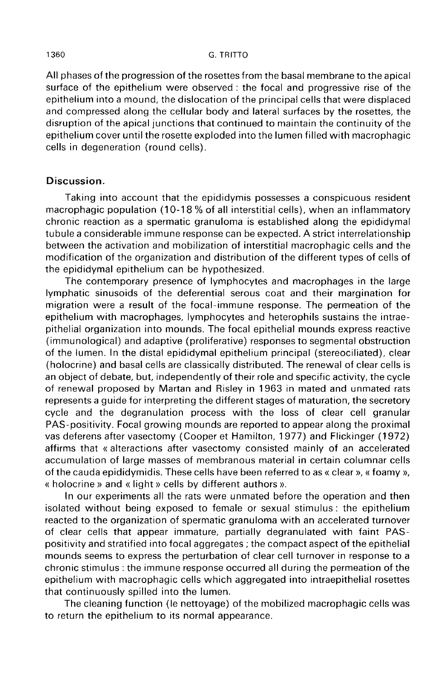All phases of the progression of the rosettes from the basal membrane to the apical surface of the epithelium were observed : the focal and progressive rise of the epithelium into a mound, the dislocation of the principal cells that were displaced and compressed along the cellular body and lateral surfaces by the rosettes, the disruption of the apical junctions that continued to maintain the continuity of the epithelium cover until the rosette exploded into the lumen filled with macrophagic cells in degeneration (round cells).

## Discussion.

Taking into account that the epididymis possesses a conspicuous resident macrophagic population (10-18 % of all interstitial cells), when an inflammatory chronic reaction as a spermatic granuloma is established along the epididymal tubule a considerable immune response can be expected. A strict interrelationship between the activation and mobilization of interstitial macrophagic cells and the modification of the organization and distribution of the different types of cells of the epididymal epithelium can be hypothesized.

The contemporary presence of lymphocytes and macrophages in the large lymphatic sinusoids of the deferential serous coat and their margination for migration were a result of the focal-immune response. The permeation of the epithelium with macrophages, lymphocytes and heterophils sustains the intraepithelial organization into mounds. The focal epithelial mounds express reactive (immunological) and adaptive (proliferative) responses to segmental obstruction of the lumen. In the distal epididymal epithelium principal (stereociliated), clear (holocrine) and basal cells are classically distributed. The renewal of clear cells is an object of debate, but, independently of their role and specific activity, the cycle of renewal proposed by Martan and Risley in 1963 in mated and unmated rats represents a guide for interpreting the different stages of maturation, the secretory cycle and the degranulation process with the loss of clear cell granular PAS-positivity. Focal growing mounds are reported to appear along the proximal vas deferens after vasectomy (Cooper et Hamilton, 1977) and Flickinger (1972) affirms that « alteractions after vasectomy consisted mainly of an accelerated accumulation of large masses of membranous material in certain columnar cells of the cauda epididymidis. These cells have been referred to as « clear », « foamy », « holocrine » and « light » cells by different authors ».

In our experiments all the rats were unmated before the operation and then isolated without being exposed to female or sexual stimulus : the epithelium reacted to the organization of spermatic granuloma with an accelerated turnover of clear cells that appear immature, partially degranulated with faint PASpositivity and stratified into focal aggregates ; the compact aspect of the epithelial mounds seems to express the perturbation of clear cell turnover in response to a chronic stimulus : the immune response occurred all during the permeation of the epithelium with macrophagic cells which aggregated into intraepithelial rosettes that continuously spilled into the lumen.

The cleaning function (le nettoyage) of the mobilized macrophagic cells was to return the epithelium to its normal appearance.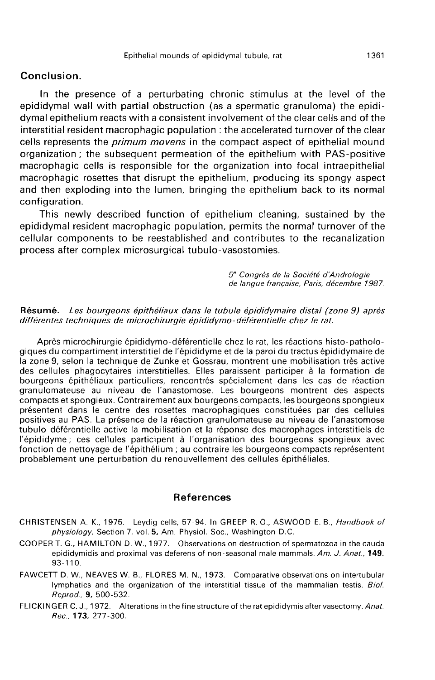## Conclusion.

In the presence of a perturbating chronic stimulus at the level of the epididymal wall with partial obstruction (as a spermatic granuloma) the epididymal epithelium reacts with a consistent involvement of the clear cells and of the interstitial resident macrophagic population : the accelerated turnover of the clear cells represents the *primum movens* in the compact aspect of epithelial mound organization ; the subsequent permeation of the epithelium with PAS-positive macrophagic cells is responsible for the organization into focal intraepithelial macrophagic rosettes that disrupt the epithelium, producing its spongy aspect and then exploding into the lumen, bringing the epithelium back to its normal configuration.

This newly described function of epithelium cleaning, sustained by the epididymal resident macrophagic population, permits the normal turnover of the cellular components to be reestablished and contributes to the recanalization process after complex microsurgical tubulo-vasostomies.

5<sup>e</sup> Congrès de la Société d'Andrologie<br>de langue française, Paris, décembre 1987.

#### Résumé. Les bourgeons épithéliaux dans le tubule épididymaire distal (zone 9) après différentes techniques de microchirurgie épididymo-déférentielle chez le rat.

Après microchirurgie épididymo-déférentielle chez le rat, les réactions histo-pathologiques du compartiment interstitiel de l'épididyme et de la paroi du tractus épididymaire de la zone 9, selon la technique de Zunke et Gossrau, montrent une mobilisation très active des cellules phagocytaires interstitielles. Elles paraissent participer à la formation de bourgeons épithéliaux particuliers, rencontrés spécialement dans les cas de réaction granulomateuse au niveau de l'anastomose. Les bourgeons montrent des aspects compacts et spongieux. Contrairement aux bourgeons compacts, les bourgeons spongieux présentent dans le centre des rosettes macrophagiques constituées par des cellules positives au PAS. La présence de la réaction granulomateuse au niveau de l'anastomose tubulo-déférentielle active la mobilisation et la réponse des macrophages interstitiels de l'épididyme ; ces cellules participent à l'organisation des bourgeons spongieux avec fonction de nettoyage de l'épithélium ; au contraire les bourgeons compacts représentent probablement une perturbation du renouvellement des cellules épithéliales.

#### References

- CHRISTENSEN A. K., 1975. Leydig cells, 57-94. In GREEP R. O., ASWOOD E. B., Handbook of physiology, Section 7, vol. 5, Am. Physiol. Soc., Washington D.C.
- COOPER T. G., HAMILTON D. W., 1977. Observations on destruction of spermatozoa in the cauda epididymidis and proximal vas deferens of non-seasonal male mammals. Am. J. Anat., 149, 93-110.
- FAWCETT D. W., NEAVES W. B., FLORES M. N., 1973. Comparative observations on intertubular lymphatics and the organization of the interstitial tissue of the mammalian testis. Bio/. Reprod., 9, 500-532.
- FLICKINGER C. J., 1972. Alterations in the fine structure of the rat epididymis after vasectomy. Anat. Rec.. 173, 277-300.